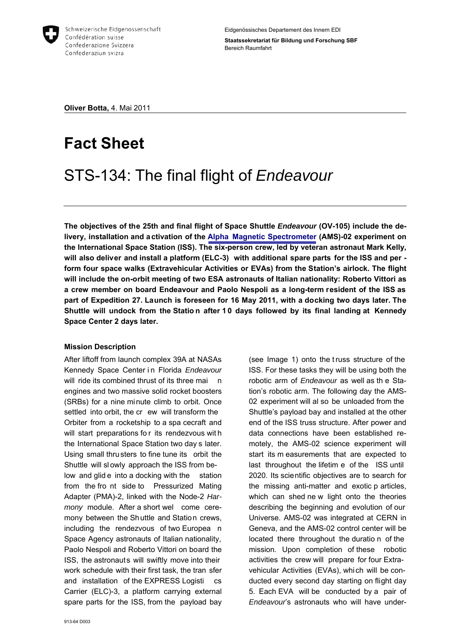

**Oliver Botta,** 4. Mai 2011

# **Fact Sheet**

# STS-134: The final flight of *Endeavour*

**The objectives of the 25th and final flight of Space Shuttle** *Endeavour* **(OV-105) include the delivery, installation and activation of the [Alpha Magnetic Spectrometer](http://www.sbf.admin.ch/htm/themen/space/pdf/FactSheet_AMS_Bot.pdf) (AMS)-02 experiment on the International Space Station (ISS). The six-person crew, led by veteran astronaut Mark Kelly, will also deliver and install a platform (ELC-3) with additional spare parts for the ISS and per form four space walks (Extravehicular Activities or EVAs) from the Station's airlock. The flight will include the on-orbit meeting of two ESA astronauts of Italian nationality: Roberto Vittori as a crew member on board Endeavour and Paolo Nespoli as a long-term resident of the ISS as part of Expedition 27. Launch is foreseen for 16 May 2011, with a docking two days later. The Shuttle will undock from the Statio n after 1 0 days followed by its final landing at Kennedy Space Center 2 days later.** 

# **Mission Description**

After liftoff from launch complex 39A at NASAs Kennedy Space Center i n Florida *Endeavour* will ride its combined thrust of its three mai n engines and two massive solid rocket boosters (SRBs) for a nine minute climb to orbit. Once settled into orbit, the cr ew will transform the Orbiter from a rocketship to a spa cecraft and will start preparations fo r its rendezvous wit h the International Space Station two day s later. Using small thrusters to fine tune its orbit the Shuttle will sl owly approach the ISS from below and glid e into a docking with the station from the fro nt side to Pressurized Mating Adapter (PMA)-2, linked with the Node-2 *Harmony* module. After a short wel come ceremony between the Shuttle and Station crews, including the rendezvous of two Europea n Space Agency astronauts of Italian nationality, Paolo Nespoli and Roberto Vittori on board the ISS, the astronauts will swiftly move into their work schedule with their first task, the tran sfer and installation of the EXPRESS Logisti cs Carrier (ELC)-3, a platform carrying external spare parts for the ISS, from the payload bay (see Image 1) onto the t russ structure of the ISS. For these tasks they will be using both the robotic arm of *Endeavour* as well as th e Station's robotic arm. The following day the AMS-02 experiment will al so be unloaded from the Shuttle's payload bay and installed at the other end of the ISS truss structure. After power and data connections have been established remotely, the AMS-02 science experiment will start its m easurements that are expected to last throughout the lifetim e of the ISS until 2020. Its scientific objectives are to search for the missing anti-matter and exotic p articles, which can shed ne w light onto the theories describing the beginning and evolution of our Universe. AMS-02 was integrated at CERN in Geneva, and the AMS-02 control center will be located there throughout the duratio n of the mission. Upon completion of these robotic activities the crew will prepare for four Extravehicular Activities (EVAs), which will be conducted every second day starting on flight day 5. Each EVA will be conducted by a pair of *Endeavour*'s astronauts who will have under-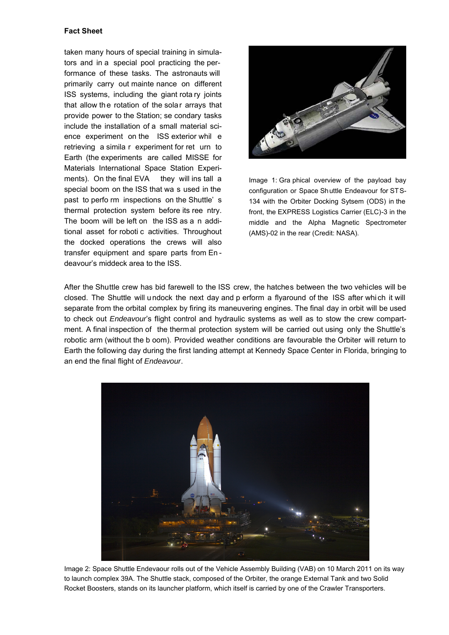#### **Fact Sheet**

taken many hours of special training in simulators and in a special pool practicing the performance of these tasks. The astronauts will primarily carry out mainte nance on different ISS systems, including the giant rota ry joints that allow the rotation of the solar arrays that provide power to the Station; se condary tasks include the installation of a small material science experiment on the ISS exterior whil e retrieving a simila r experiment for ret urn to Earth (the experiments are called MISSE for Materials International Space Station Experiments). On the final EVA they will ins tall a special boom on the ISS that wa s used in the past to perfo rm inspections on the Shuttle' s thermal protection system before its ree ntry. The boom will be left on the ISS as a n additional asset for roboti c activities. Throughout the docked operations the crews will also transfer equipment and spare parts from En deavour's middeck area to the ISS.



Image 1: Gra phical overview of the payload bay configuration or Space Shuttle Endeavour for STS-134 with the Orbiter Docking Sytsem (ODS) in the front, the EXPRESS Logistics Carrier (ELC)-3 in the middle and the Alpha Magnetic Spectrometer (AMS)-02 in the rear (Credit: NASA).

After the Shuttle crew has bid farewell to the ISS crew, the hatches between the two vehicles will be closed. The Shuttle will u ndock the next day and p erform a flyaround of the ISS after whi ch it will separate from the orbital complex by firing its maneuvering engines. The final day in orbit will be used to check out *Endeavour*'s flight control and hydraulic systems as well as to stow the crew compartment. A final inspection of the thermal protection system will be carried out using only the Shuttle's robotic arm (without the b oom). Provided weather conditions are favourable the Orbiter will return to Earth the following day during the first landing attempt at Kennedy Space Center in Florida, bringing to an end the final flight of *Endeavour*.



Image 2: Space Shuttle Endevaour rolls out of the Vehicle Assembly Building (VAB) on 10 March 2011 on its way to launch complex 39A. The Shuttle stack, composed of the Orbiter, the orange External Tank and two Solid Rocket Boosters, stands on its launcher platform, which itself is carried by one of the Crawler Transporters.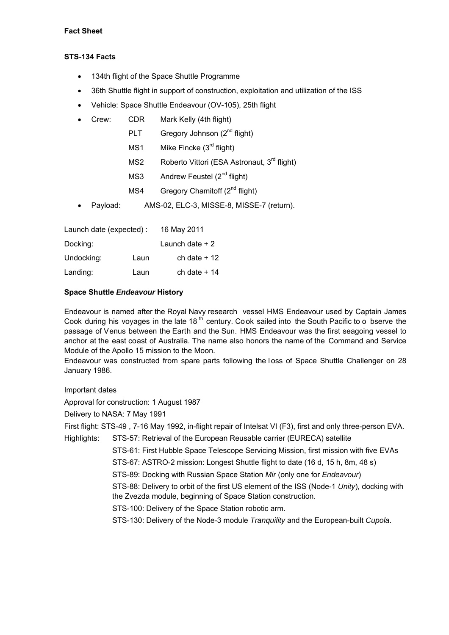## **STS-134 Facts**

- 134th flight of the Space Shuttle Programme
- 36th Shuttle flight in support of construction, exploitation and utilization of the ISS
- Vehicle: Space Shuttle Endeavour (OV-105), 25th flight
- Crew: CDR Mark Kelly (4th flight)
	- PLT Gregory Johnson (2<sup>nd</sup> flight)
	- MS1 Mike Fincke (3<sup>rd</sup> flight)
	- MS2 Roberto Vittori (ESA Astronaut, 3<sup>rd</sup> flight)
	- MS3 Andrew Feustel (2<sup>nd</sup> flight)
	- MS4 Gregory Chamitoff  $(2^{nd}$  flight)
- Payload: AMS-02, ELC-3, MISSE-8, MISSE-7 (return).

| Launch date (expected): |      | 16 May 2011      |
|-------------------------|------|------------------|
| Docking:                |      | Launch date $+2$ |
| Undocking:              | Laun | ch date $+12$    |
| Landing:                | Laun | ch date $+14$    |

## **Space Shuttle** *Endeavour* **History**

Endeavour is named after the Royal Navy research vessel HMS Endeavour used by Captain James Cook during his voyages in the late 18<sup>th</sup> century. Cook sailed into the South Pacific to o bserve the passage of Venus between the Earth and the Sun. HMS Endeavour was the first seagoing vessel to anchor at the east coast of Australia. The name also honors the name of the Command and Service Module of the Apollo 15 mission to the Moon.

Endeavour was constructed from spare parts following the loss of Space Shuttle Challenger on 28 January 1986.

#### Important dates

Approval for construction: 1 August 1987

Delivery to NASA: 7 May 1991

First flight: STS-49 , 7-16 May 1992, in-flight repair of Intelsat VI (F3), first and only three-person EVA.

Highlights: STS-57: Retrieval of the European Reusable carrier (EURECA) satellite

STS-61: First Hubble Space Telescope Servicing Mission, first mission with five EVAs

STS-67: ASTRO-2 mission: Longest Shuttle flight to date (16 d, 15 h, 8m, 48 s)

STS-89: Docking with Russian Space Station *Mir* (only one for *Endeavour*)

STS-88: Delivery to orbit of the first US element of the ISS (Node-1 *Unity*), docking with the Zvezda module, beginning of Space Station construction.

STS-100: Delivery of the Space Station robotic arm.

STS-130: Delivery of the Node-3 module *Tranquility* and the European-built *Cupola*.